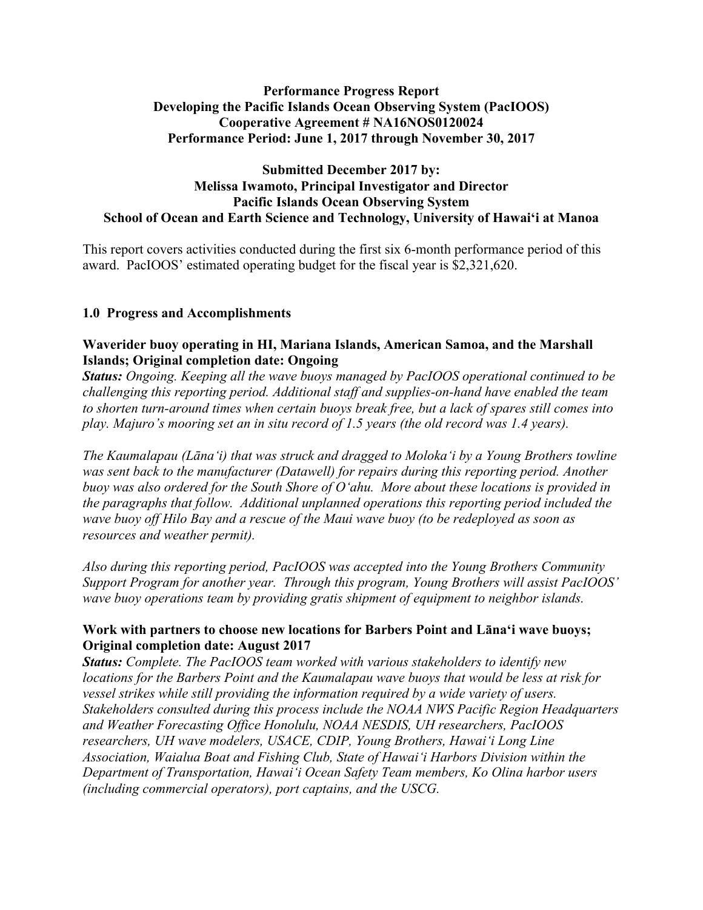# **Performance Progress Report Developing the Pacific Islands Ocean Observing System (PacIOOS) Cooperative Agreement # NA16NOS0120024 Performance Period: June 1, 2017 through November 30, 2017**

### **Submitted December 2017 by: Melissa Iwamoto, Principal Investigator and Director Pacific Islands Ocean Observing System School of Ocean and Earth Science and Technology, University of Hawaiʻi at Manoa**

This report covers activities conducted during the first six 6-month performance period of this award. PacIOOS' estimated operating budget for the fiscal year is \$2,321,620.

# **1.0 Progress and Accomplishments**

### **Waverider buoy operating in HI, Mariana Islands, American Samoa, and the Marshall Islands; Original completion date: Ongoing**

*Status: Ongoing. Keeping all the wave buoys managed by PacIOOS operational continued to be challenging this reporting period. Additional staff and supplies-on-hand have enabled the team to shorten turn-around times when certain buoys break free, but a lack of spares still comes into play. Majuro's mooring set an in situ record of 1.5 years (the old record was 1.4 years).* 

*The Kaumalapau (Lānaʻi) that was struck and dragged to Molokaʻi by a Young Brothers towline was sent back to the manufacturer (Datawell) for repairs during this reporting period. Another buoy was also ordered for the South Shore of Oʻahu. More about these locations is provided in the paragraphs that follow. Additional unplanned operations this reporting period included the wave buoy off Hilo Bay and a rescue of the Maui wave buoy (to be redeployed as soon as resources and weather permit).* 

*Also during this reporting period, PacIOOS was accepted into the Young Brothers Community Support Program for another year. Through this program, Young Brothers will assist PacIOOS' wave buoy operations team by providing gratis shipment of equipment to neighbor islands.* 

# **Work with partners to choose new locations for Barbers Point and Lānaʻi wave buoys; Original completion date: August 2017**

*Status: Complete. The PacIOOS team worked with various stakeholders to identify new locations for the Barbers Point and the Kaumalapau wave buoys that would be less at risk for vessel strikes while still providing the information required by a wide variety of users. Stakeholders consulted during this process include the NOAA NWS Pacific Region Headquarters and Weather Forecasting Office Honolulu, NOAA NESDIS, UH researchers, PacIOOS researchers, UH wave modelers, USACE, CDIP, Young Brothers, Hawaiʻi Long Line Association, Waialua Boat and Fishing Club, State of Hawaiʻi Harbors Division within the Department of Transportation, Hawaiʻi Ocean Safety Team members, Ko Olina harbor users (including commercial operators), port captains, and the USCG.*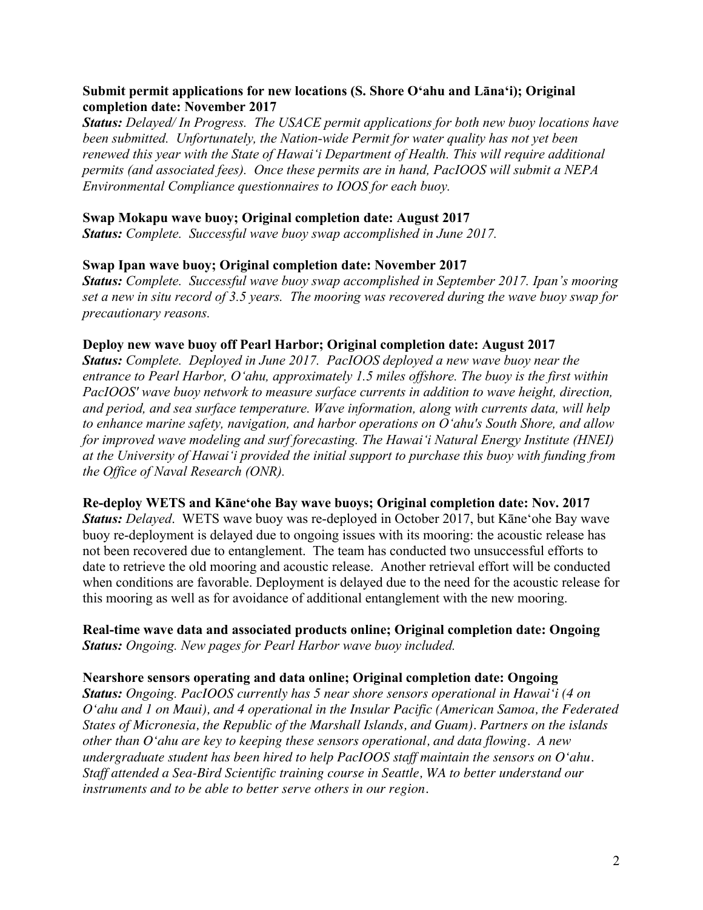# **Submit permit applications for new locations (S. Shore Oʻahu and Lānaʻi); Original completion date: November 2017**

*Status: Delayed/ In Progress. The USACE permit applications for both new buoy locations have been submitted. Unfortunately, the Nation-wide Permit for water quality has not yet been renewed this year with the State of Hawaiʻi Department of Health. This will require additional permits (and associated fees). Once these permits are in hand, PacIOOS will submit a NEPA Environmental Compliance questionnaires to IOOS for each buoy.*

### **Swap Mokapu wave buoy; Original completion date: August 2017**

*Status: Complete. Successful wave buoy swap accomplished in June 2017.*

### **Swap Ipan wave buoy; Original completion date: November 2017**

*Status: Complete. Successful wave buoy swap accomplished in September 2017. Ipan's mooring set a new in situ record of 3.5 years. The mooring was recovered during the wave buoy swap for precautionary reasons.* 

### **Deploy new wave buoy off Pearl Harbor; Original completion date: August 2017**

*Status: Complete. Deployed in June 2017. PacIOOS deployed a new wave buoy near the entrance to Pearl Harbor, Oʻahu, approximately 1.5 miles offshore. The buoy is the first within PacIOOS' wave buoy network to measure surface currents in addition to wave height, direction, and period, and sea surface temperature. Wave information, along with currents data, will help to enhance marine safety, navigation, and harbor operations on Oʻahu's South Shore, and allow for improved wave modeling and surf forecasting. The Hawaiʻi Natural Energy Institute (HNEI) at the University of Hawaiʻi provided the initial support to purchase this buoy with funding from the Office of Naval Research (ONR).*

### **Re-deploy WETS and Kāneʻohe Bay wave buoys; Original completion date: Nov. 2017**

*Status: Delayed*. WETS wave buoy was re-deployed in October 2017, but Kāneʻohe Bay wave buoy re-deployment is delayed due to ongoing issues with its mooring: the acoustic release has not been recovered due to entanglement. The team has conducted two unsuccessful efforts to date to retrieve the old mooring and acoustic release. Another retrieval effort will be conducted when conditions are favorable. Deployment is delayed due to the need for the acoustic release for this mooring as well as for avoidance of additional entanglement with the new mooring.

# **Real-time wave data and associated products online; Original completion date: Ongoing** *Status: Ongoing. New pages for Pearl Harbor wave buoy included.*

### **Nearshore sensors operating and data online; Original completion date: Ongoing**

*Status: Ongoing. PacIOOS currently has 5 near shore sensors operational in Hawaiʻi (4 on Oʻahu and 1 on Maui), and 4 operational in the Insular Pacific (American Samoa, the Federated States of Micronesia, the Republic of the Marshall Islands, and Guam). Partners on the islands other than Oʻahu are key to keeping these sensors operational, and data flowing. A new undergraduate student has been hired to help PacIOOS staff maintain the sensors on Oʻahu. Staff attended a Sea-Bird Scientific training course in Seattle, WA to better understand our instruments and to be able to better serve others in our region.*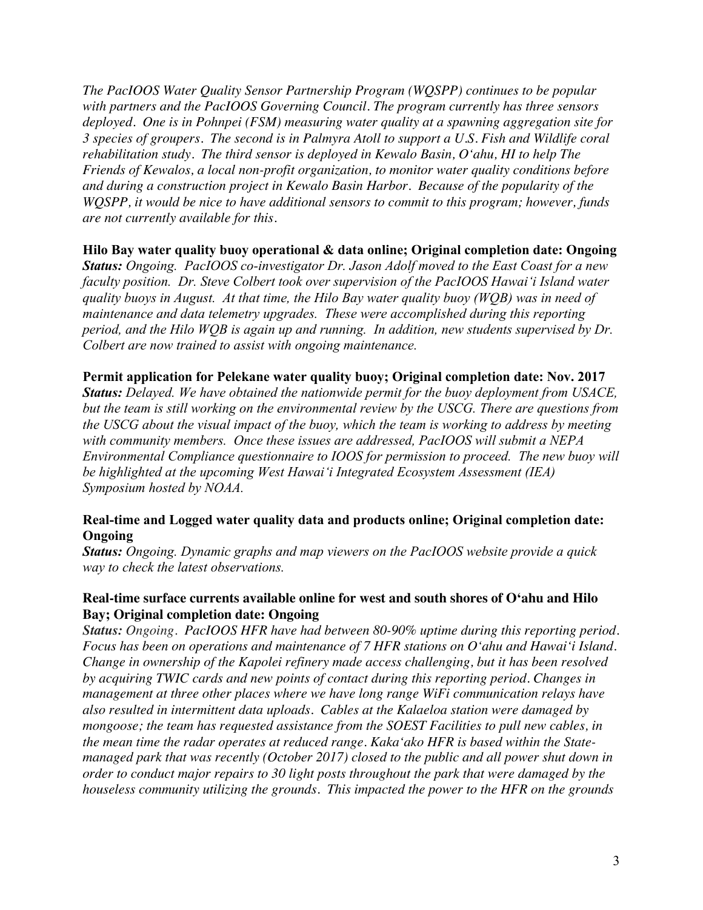*The PacIOOS Water Quality Sensor Partnership Program (WQSPP) continues to be popular with partners and the PacIOOS Governing Council. The program currently has three sensors deployed. One is in Pohnpei (FSM) measuring water quality at a spawning aggregation site for 3 species of groupers. The second is in Palmyra Atoll to support a U.S. Fish and Wildlife coral rehabilitation study. The third sensor is deployed in Kewalo Basin, Oʻahu, HI to help The Friends of Kewalos, a local non-profit organization, to monitor water quality conditions before and during a construction project in Kewalo Basin Harbor. Because of the popularity of the WQSPP, it would be nice to have additional sensors to commit to this program; however, funds are not currently available for this.*

### **Hilo Bay water quality buoy operational & data online; Original completion date: Ongoing**

*Status: Ongoing. PacIOOS co-investigator Dr. Jason Adolf moved to the East Coast for a new faculty position. Dr. Steve Colbert took over supervision of the PacIOOS Hawaiʻi Island water quality buoys in August. At that time, the Hilo Bay water quality buoy (WQB) was in need of maintenance and data telemetry upgrades. These were accomplished during this reporting period, and the Hilo WQB is again up and running. In addition, new students supervised by Dr. Colbert are now trained to assist with ongoing maintenance.*

### **Permit application for Pelekane water quality buoy; Original completion date: Nov. 2017**

*Status: Delayed. We have obtained the nationwide permit for the buoy deployment from USACE, but the team is still working on the environmental review by the USCG. There are questions from the USCG about the visual impact of the buoy, which the team is working to address by meeting with community members. Once these issues are addressed, PacIOOS will submit a NEPA Environmental Compliance questionnaire to IOOS for permission to proceed. The new buoy will be highlighted at the upcoming West Hawai'i Integrated Ecosystem Assessment (IEA) Symposium hosted by NOAA.*

# **Real-time and Logged water quality data and products online; Original completion date: Ongoing**

*Status: Ongoing. Dynamic graphs and map viewers on the PacIOOS website provide a quick way to check the latest observations.*

# **Real-time surface currents available online for west and south shores of Oʻahu and Hilo Bay; Original completion date: Ongoing**

*Status: Ongoing. PacIOOS HFR have had between 80-90% uptime during this reporting period. Focus has been on operations and maintenance of 7 HFR stations on Oʻahu and Hawaiʻi Island. Change in ownership of the Kapolei refinery made access challenging, but it has been resolved by acquiring TWIC cards and new points of contact during this reporting period. Changes in management at three other places where we have long range WiFi communication relays have also resulted in intermittent data uploads. Cables at the Kalaeloa station were damaged by mongoose; the team has requested assistance from the SOEST Facilities to pull new cables, in the mean time the radar operates at reduced range. Kakaʻako HFR is based within the Statemanaged park that was recently (October 2017) closed to the public and all power shut down in order to conduct major repairs to 30 light posts throughout the park that were damaged by the houseless community utilizing the grounds. This impacted the power to the HFR on the grounds*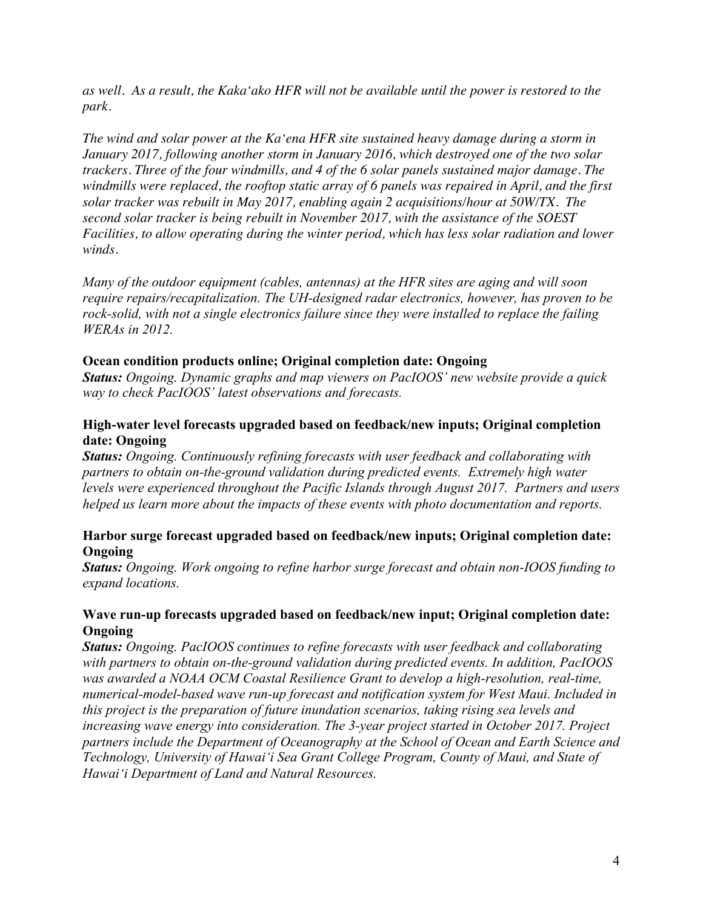*as well. As a result, the Kakaʻako HFR will not be available until the power is restored to the park.*

*The wind and solar power at the Kaʻena HFR site sustained heavy damage during a storm in January 2017, following another storm in January 2016, which destroyed one of the two solar trackers. Three of the four windmills, and 4 of the 6 solar panels sustained major damage. The windmills were replaced, the rooftop static array of 6 panels was repaired in April, and the first solar tracker was rebuilt in May 2017, enabling again 2 acquisitions/hour at 50W/TX. The second solar tracker is being rebuilt in November 2017, with the assistance of the SOEST Facilities, to allow operating during the winter period, which has less solar radiation and lower winds.*

*Many of the outdoor equipment (cables, antennas) at the HFR sites are aging and will soon require repairs/recapitalization. The UH-designed radar electronics, however, has proven to be rock-solid, with not a single electronics failure since they were installed to replace the failing WERAs in 2012.*

### **Ocean condition products online; Original completion date: Ongoing**

*Status: Ongoing. Dynamic graphs and map viewers on PacIOOS' new website provide a quick way to check PacIOOS' latest observations and forecasts.*

# **High-water level forecasts upgraded based on feedback/new inputs; Original completion date: Ongoing**

*Status: Ongoing. Continuously refining forecasts with user feedback and collaborating with partners to obtain on-the-ground validation during predicted events. Extremely high water levels were experienced throughout the Pacific Islands through August 2017. Partners and users helped us learn more about the impacts of these events with photo documentation and reports.*

# **Harbor surge forecast upgraded based on feedback/new inputs; Original completion date: Ongoing**

*Status: Ongoing. Work ongoing to refine harbor surge forecast and obtain non-IOOS funding to expand locations.*

# **Wave run-up forecasts upgraded based on feedback/new input; Original completion date: Ongoing**

*Status: Ongoing. PacIOOS continues to refine forecasts with user feedback and collaborating with partners to obtain on-the-ground validation during predicted events. In addition, PacIOOS was awarded a NOAA OCM Coastal Resilience Grant to develop a high-resolution, real-time, numerical-model-based wave run-up forecast and notification system for West Maui. Included in this project is the preparation of future inundation scenarios, taking rising sea levels and increasing wave energy into consideration. The 3-year project started in October 2017. Project partners include the Department of Oceanography at the School of Ocean and Earth Science and Technology, University of Hawaiʻi Sea Grant College Program, County of Maui, and State of Hawaiʻi Department of Land and Natural Resources.*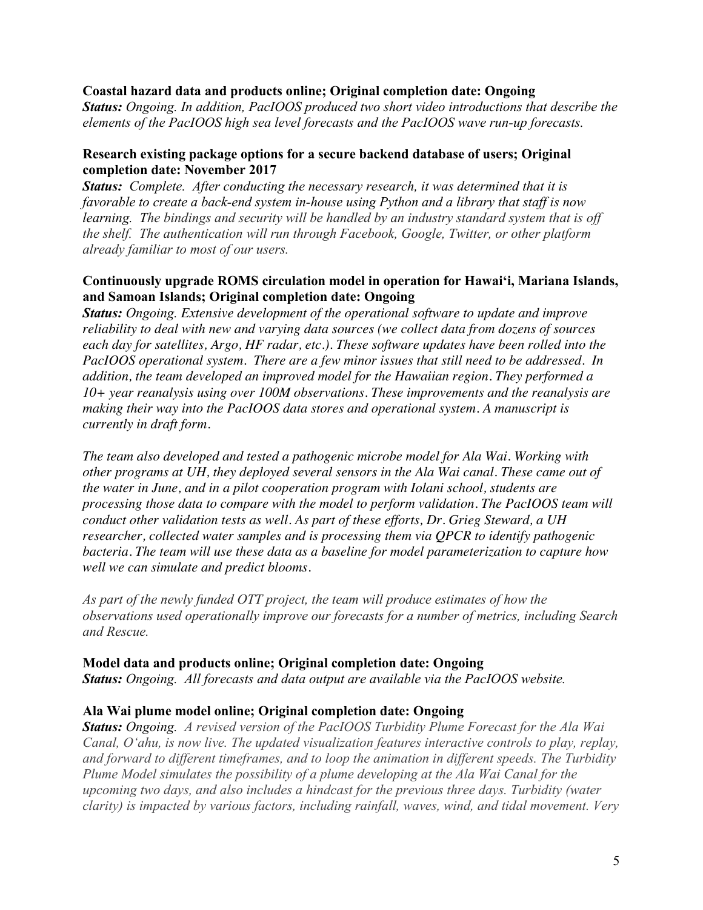### **Coastal hazard data and products online; Original completion date: Ongoing**

*Status: Ongoing. In addition, PacIOOS produced two short video introductions that describe the elements of the PacIOOS high sea level forecasts and the PacIOOS wave run-up forecasts.* 

# **Research existing package options for a secure backend database of users; Original completion date: November 2017**

*Status: Complete. After conducting the necessary research, it was determined that it is favorable to create a back-end system in-house using Python and a library that staff is now learning. The bindings and security will be handled by an industry standard system that is off the shelf. The authentication will run through Facebook, Google, Twitter, or other platform already familiar to most of our users.*

# **Continuously upgrade ROMS circulation model in operation for Hawaiʻi, Mariana Islands, and Samoan Islands; Original completion date: Ongoing**

*Status: Ongoing. Extensive development of the operational software to update and improve reliability to deal with new and varying data sources (we collect data from dozens of sources each day for satellites, Argo, HF radar, etc.). These software updates have been rolled into the PacIOOS operational system. There are a few minor issues that still need to be addressed. In addition, the team developed an improved model for the Hawaiian region. They performed a 10+ year reanalysis using over 100M observations. These improvements and the reanalysis are making their way into the PacIOOS data stores and operational system. A manuscript is currently in draft form.* 

*The team also developed and tested a pathogenic microbe model for Ala Wai. Working with other programs at UH, they deployed several sensors in the Ala Wai canal. These came out of the water in June, and in a pilot cooperation program with Iolani school, students are processing those data to compare with the model to perform validation. The PacIOOS team will conduct other validation tests as well. As part of these efforts, Dr. Grieg Steward, a UH researcher, collected water samples and is processing them via QPCR to identify pathogenic bacteria. The team will use these data as a baseline for model parameterization to capture how well we can simulate and predict blooms.* 

*As part of the newly funded OTT project, the team will produce estimates of how the observations used operationally improve our forecasts for a number of metrics, including Search and Rescue.*

# **Model data and products online; Original completion date: Ongoing**

*Status: Ongoing. All forecasts and data output are available via the PacIOOS website.*

# **Ala Wai plume model online; Original completion date: Ongoing**

*Status: Ongoing. A revised version of the PacIOOS Turbidity Plume Forecast for the Ala Wai Canal, Oʻahu, is now live. The updated visualization features interactive controls to play, replay, and forward to different timeframes, and to loop the animation in different speeds. The Turbidity Plume Model simulates the possibility of a plume developing at the Ala Wai Canal for the upcoming two days, and also includes a hindcast for the previous three days. Turbidity (water clarity) is impacted by various factors, including rainfall, waves, wind, and tidal movement. Very*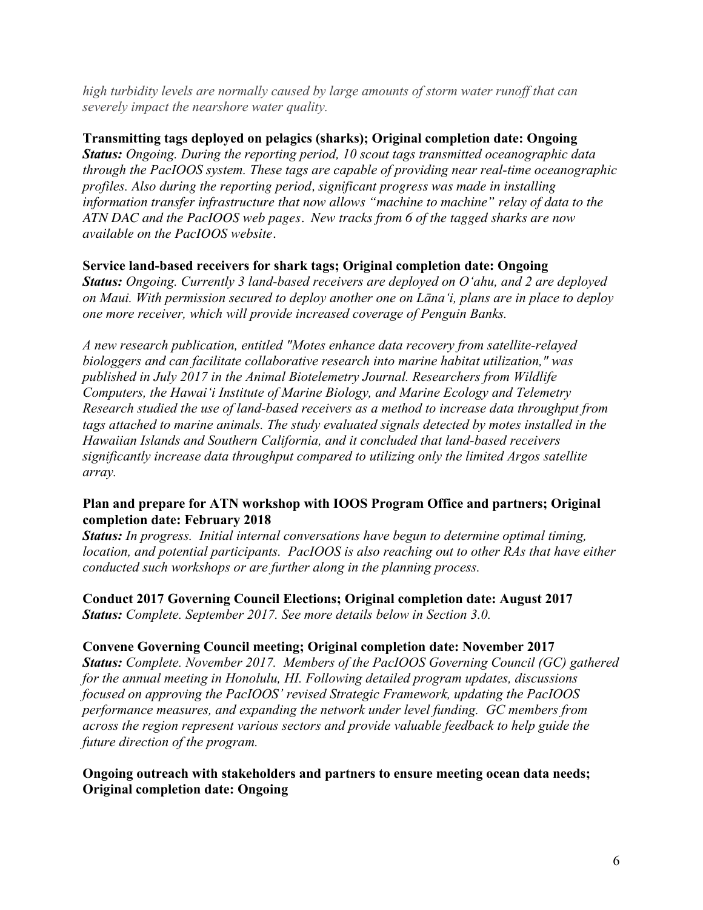*high turbidity levels are normally caused by large amounts of storm water runoff that can severely impact the nearshore water quality.*

**Transmitting tags deployed on pelagics (sharks); Original completion date: Ongoing** *Status: Ongoing. During the reporting period, 10 scout tags transmitted oceanographic data through the PacIOOS system. These tags are capable of providing near real-time oceanographic profiles. Also during the reporting period, significant progress was made in installing information transfer infrastructure that now allows "machine to machine" relay of data to the ATN DAC and the PacIOOS web pages. New tracks from 6 of the tagged sharks are now available on the PacIOOS website.* 

# **Service land-based receivers for shark tags; Original completion date: Ongoing**

*Status: Ongoing. Currently 3 land-based receivers are deployed on Oʻahu, and 2 are deployed on Maui. With permission secured to deploy another one on Lānaʻi, plans are in place to deploy one more receiver, which will provide increased coverage of Penguin Banks.* 

*A new research publication, entitled "Motes enhance data recovery from satellite-relayed biologgers and can facilitate collaborative research into marine habitat utilization," was published in July 2017 in the Animal Biotelemetry Journal. Researchers from Wildlife Computers, the Hawaiʻi Institute of Marine Biology, and Marine Ecology and Telemetry Research studied the use of land-based receivers as a method to increase data throughput from tags attached to marine animals. The study evaluated signals detected by motes installed in the Hawaiian Islands and Southern California, and it concluded that land-based receivers significantly increase data throughput compared to utilizing only the limited Argos satellite array.*

# **Plan and prepare for ATN workshop with IOOS Program Office and partners; Original completion date: February 2018**

*Status: In progress. Initial internal conversations have begun to determine optimal timing, location, and potential participants. PacIOOS is also reaching out to other RAs that have either conducted such workshops or are further along in the planning process.*

**Conduct 2017 Governing Council Elections; Original completion date: August 2017** *Status: Complete. September 2017. See more details below in Section 3.0.*

# **Convene Governing Council meeting; Original completion date: November 2017**

*Status: Complete. November 2017. Members of the PacIOOS Governing Council (GC) gathered for the annual meeting in Honolulu, HI. Following detailed program updates, discussions focused on approving the PacIOOS' revised Strategic Framework, updating the PacIOOS performance measures, and expanding the network under level funding. GC members from across the region represent various sectors and provide valuable feedback to help guide the future direction of the program.*

# **Ongoing outreach with stakeholders and partners to ensure meeting ocean data needs; Original completion date: Ongoing**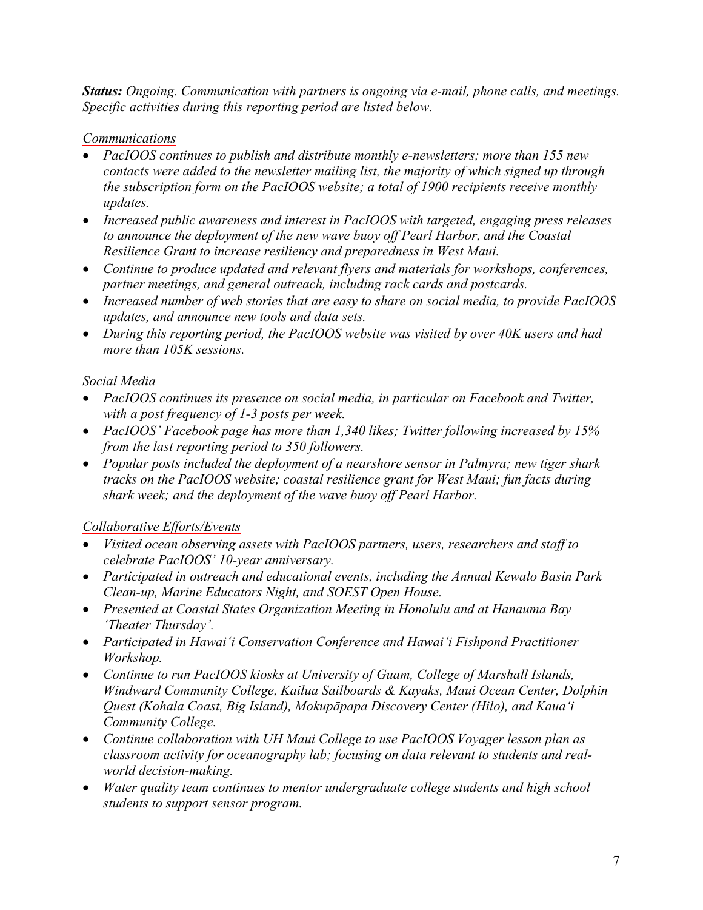*Status: Ongoing. Communication with partners is ongoing via e-mail, phone calls, and meetings. Specific activities during this reporting period are listed below.*

# *Communications*

- *PacIOOS continues to publish and distribute monthly e-newsletters; more than 155 new contacts were added to the newsletter mailing list, the majority of which signed up through the subscription form on the PacIOOS website; a total of 1900 recipients receive monthly updates.*
- *Increased public awareness and interest in PacIOOS with targeted, engaging press releases to announce the deployment of the new wave buoy off Pearl Harbor, and the Coastal Resilience Grant to increase resiliency and preparedness in West Maui.*
- *Continue to produce updated and relevant flyers and materials for workshops, conferences, partner meetings, and general outreach, including rack cards and postcards.*
- *Increased number of web stories that are easy to share on social media, to provide PacIOOS updates, and announce new tools and data sets.*
- *During this reporting period, the PacIOOS website was visited by over 40K users and had more than 105K sessions.*

# *Social Media*

- *PacIOOS continues its presence on social media, in particular on Facebook and Twitter, with a post frequency of 1-3 posts per week.*
- *PacIOOS' Facebook page has more than 1,340 likes; Twitter following increased by 15% from the last reporting period to 350 followers.*
- *Popular posts included the deployment of a nearshore sensor in Palmyra; new tiger shark tracks on the PacIOOS website; coastal resilience grant for West Maui; fun facts during shark week; and the deployment of the wave buoy off Pearl Harbor.*

# *Collaborative Efforts/Events*

- *Visited ocean observing assets with PacIOOS partners, users, researchers and staff to celebrate PacIOOS' 10-year anniversary.*
- *Participated in outreach and educational events, including the Annual Kewalo Basin Park Clean-up, Marine Educators Night, and SOEST Open House.*
- *Presented at Coastal States Organization Meeting in Honolulu and at Hanauma Bay 'Theater Thursday'.*
- *Participated in Hawai'i Conservation Conference and Hawai'i Fishpond Practitioner Workshop.*
- *Continue to run PacIOOS kiosks at University of Guam, College of Marshall Islands, Windward Community College, Kailua Sailboards & Kayaks, Maui Ocean Center, Dolphin Quest (Kohala Coast, Big Island), Mokupāpapa Discovery Center (Hilo), and Kaua'i Community College.*
- *Continue collaboration with UH Maui College to use PacIOOS Voyager lesson plan as classroom activity for oceanography lab; focusing on data relevant to students and realworld decision-making.*
- *Water quality team continues to mentor undergraduate college students and high school students to support sensor program.*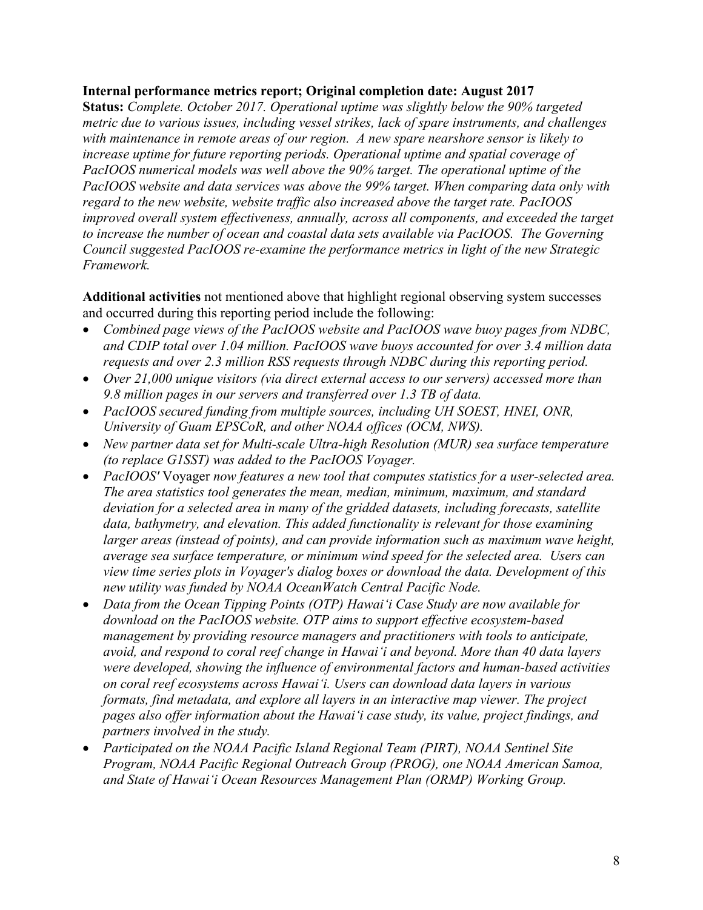### **Internal performance metrics report; Original completion date: August 2017**

**Status:** *Complete. October 2017. Operational uptime was slightly below the 90% targeted metric due to various issues, including vessel strikes, lack of spare instruments, and challenges with maintenance in remote areas of our region. A new spare nearshore sensor is likely to increase uptime for future reporting periods. Operational uptime and spatial coverage of PacIOOS numerical models was well above the 90% target. The operational uptime of the PacIOOS website and data services was above the 99% target. When comparing data only with regard to the new website, website traffic also increased above the target rate. PacIOOS improved overall system effectiveness, annually, across all components, and exceeded the target to increase the number of ocean and coastal data sets available via PacIOOS. The Governing Council suggested PacIOOS re-examine the performance metrics in light of the new Strategic Framework.*

**Additional activities** not mentioned above that highlight regional observing system successes and occurred during this reporting period include the following:

- *Combined page views of the PacIOOS website and PacIOOS wave buoy pages from NDBC, and CDIP total over 1.04 million. PacIOOS wave buoys accounted for over 3.4 million data requests and over 2.3 million RSS requests through NDBC during this reporting period.*
- *Over 21,000 unique visitors (via direct external access to our servers) accessed more than 9.8 million pages in our servers and transferred over 1.3 TB of data.*
- *PacIOOS secured funding from multiple sources, including UH SOEST, HNEI, ONR, University of Guam EPSCoR, and other NOAA offices (OCM, NWS).*
- *New partner data set for Multi-scale Ultra-high Resolution (MUR) sea surface temperature (to replace G1SST) was added to the PacIOOS Voyager.*
- *PacIOOS'* Voyager *now features a new tool that computes statistics for a user-selected area. The area statistics tool generates the mean, median, minimum, maximum, and standard deviation for a selected area in many of the gridded datasets, including forecasts, satellite data, bathymetry, and elevation. This added functionality is relevant for those examining larger areas (instead of points), and can provide information such as maximum wave height, average sea surface temperature, or minimum wind speed for the selected area. Users can view time series plots in Voyager's dialog boxes or download the data. Development of this new utility was funded by NOAA OceanWatch Central Pacific Node.*
- *Data from the Ocean Tipping Points (OTP) Hawaiʻi Case Study are now available for download on the PacIOOS website. OTP aims to support effective ecosystem-based management by providing resource managers and practitioners with tools to anticipate, avoid, and respond to coral reef change in Hawaiʻi and beyond. More than 40 data layers were developed, showing the influence of environmental factors and human-based activities on coral reef ecosystems across Hawaiʻi. Users can download data layers in various formats, find metadata, and explore all layers in an interactive map viewer. The project pages also offer information about the Hawaiʻi case study, its value, project findings, and partners involved in the study.*
- *Participated on the NOAA Pacific Island Regional Team (PIRT), NOAA Sentinel Site Program, NOAA Pacific Regional Outreach Group (PROG), one NOAA American Samoa, and State of Hawaiʻi Ocean Resources Management Plan (ORMP) Working Group.*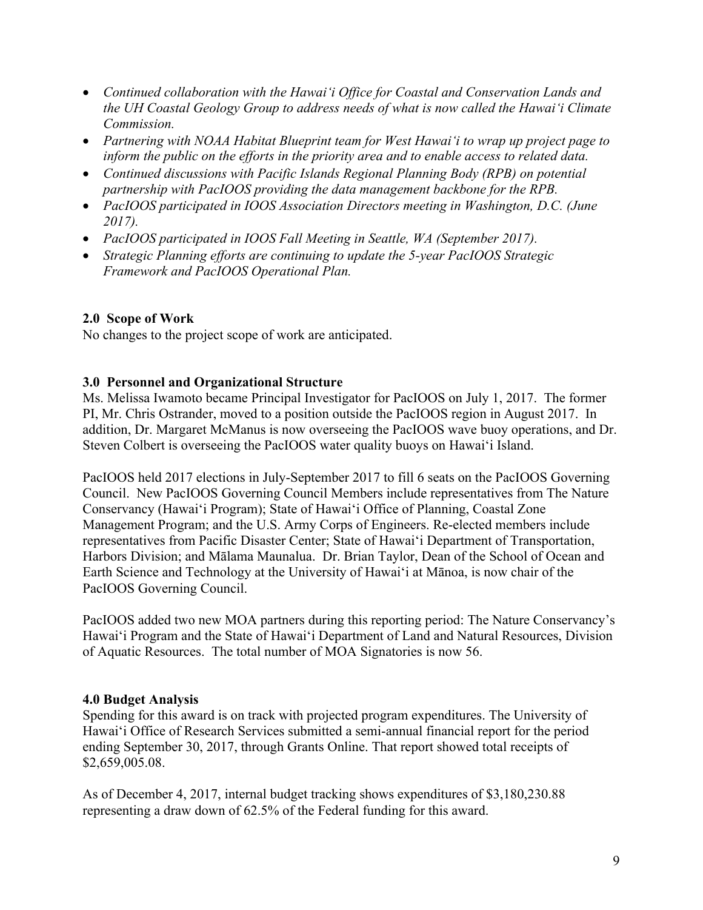- *Continued collaboration with the Hawaiʻi Office for Coastal and Conservation Lands and the UH Coastal Geology Group to address needs of what is now called the Hawaiʻi Climate Commission.*
- *Partnering with NOAA Habitat Blueprint team for West Hawaiʻi to wrap up project page to inform the public on the efforts in the priority area and to enable access to related data.*
- *Continued discussions with Pacific Islands Regional Planning Body (RPB) on potential partnership with PacIOOS providing the data management backbone for the RPB.*
- *PacIOOS participated in IOOS Association Directors meeting in Washington, D.C. (June 2017).*
- *PacIOOS participated in IOOS Fall Meeting in Seattle, WA (September 2017).*
- *Strategic Planning efforts are continuing to update the 5-year PacIOOS Strategic Framework and PacIOOS Operational Plan.*

# **2.0 Scope of Work**

No changes to the project scope of work are anticipated.

# **3.0 Personnel and Organizational Structure**

Ms. Melissa Iwamoto became Principal Investigator for PacIOOS on July 1, 2017. The former PI, Mr. Chris Ostrander, moved to a position outside the PacIOOS region in August 2017. In addition, Dr. Margaret McManus is now overseeing the PacIOOS wave buoy operations, and Dr. Steven Colbert is overseeing the PacIOOS water quality buoys on Hawaiʻi Island.

PacIOOS held 2017 elections in July-September 2017 to fill 6 seats on the PacIOOS Governing Council. New PacIOOS Governing Council Members include representatives from The Nature Conservancy (Hawaiʻi Program); State of Hawaiʻi Office of Planning, Coastal Zone Management Program; and the U.S. Army Corps of Engineers. Re-elected members include representatives from Pacific Disaster Center; State of Hawaiʻi Department of Transportation, Harbors Division; and Mālama Maunalua. Dr. Brian Taylor, Dean of the School of Ocean and Earth Science and Technology at the University of Hawaiʻi at Mānoa, is now chair of the PacIOOS Governing Council.

PacIOOS added two new MOA partners during this reporting period: The Nature Conservancy's Hawaiʻi Program and the State of Hawaiʻi Department of Land and Natural Resources, Division of Aquatic Resources. The total number of MOA Signatories is now 56.

# **4.0 Budget Analysis**

Spending for this award is on track with projected program expenditures. The University of Hawaiʻi Office of Research Services submitted a semi-annual financial report for the period ending September 30, 2017, through Grants Online. That report showed total receipts of \$2,659,005.08.

As of December 4, 2017, internal budget tracking shows expenditures of \$3,180,230.88 representing a draw down of 62.5% of the Federal funding for this award.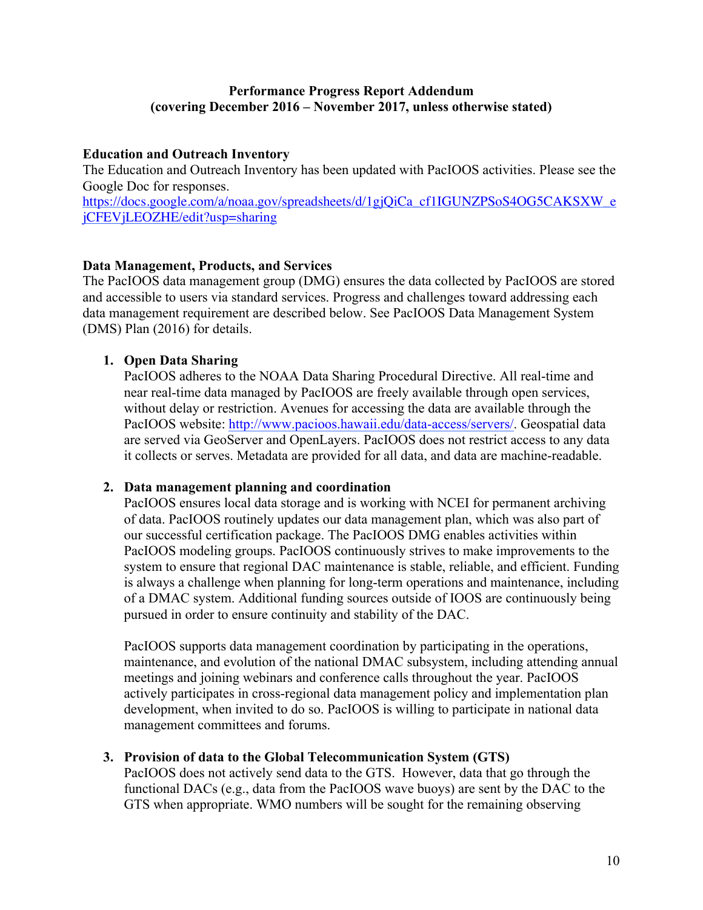# **Performance Progress Report Addendum (covering December 2016 – November 2017, unless otherwise stated)**

# **Education and Outreach Inventory**

The Education and Outreach Inventory has been updated with PacIOOS activities. Please see the Google Doc for responses. https://docs.google.com/a/noaa.gov/spreadsheets/d/1gjQiCa\_cf1IGUNZPSoS4OG5CAKSXW\_e jCFEVjLEOZHE/edit?usp=sharing

# **Data Management, Products, and Services**

The PacIOOS data management group (DMG) ensures the data collected by PacIOOS are stored and accessible to users via standard services. Progress and challenges toward addressing each data management requirement are described below. See PacIOOS Data Management System (DMS) Plan (2016) for details.

# **1. Open Data Sharing**

PacIOOS adheres to the NOAA Data Sharing Procedural Directive. All real-time and near real-time data managed by PacIOOS are freely available through open services, without delay or restriction. Avenues for accessing the data are available through the PacIOOS website: http://www.pacioos.hawaii.edu/data-access/servers/. Geospatial data are served via GeoServer and OpenLayers. PacIOOS does not restrict access to any data it collects or serves. Metadata are provided for all data, and data are machine-readable.

### **2. Data management planning and coordination**

PacIOOS ensures local data storage and is working with NCEI for permanent archiving of data. PacIOOS routinely updates our data management plan, which was also part of our successful certification package. The PacIOOS DMG enables activities within PacIOOS modeling groups. PacIOOS continuously strives to make improvements to the system to ensure that regional DAC maintenance is stable, reliable, and efficient. Funding is always a challenge when planning for long-term operations and maintenance, including of a DMAC system. Additional funding sources outside of IOOS are continuously being pursued in order to ensure continuity and stability of the DAC.

PacIOOS supports data management coordination by participating in the operations, maintenance, and evolution of the national DMAC subsystem, including attending annual meetings and joining webinars and conference calls throughout the year. PacIOOS actively participates in cross-regional data management policy and implementation plan development, when invited to do so. PacIOOS is willing to participate in national data management committees and forums.

### **3. Provision of data to the Global Telecommunication System (GTS)**

PacIOOS does not actively send data to the GTS. However, data that go through the functional DACs (e.g., data from the PacIOOS wave buoys) are sent by the DAC to the GTS when appropriate. WMO numbers will be sought for the remaining observing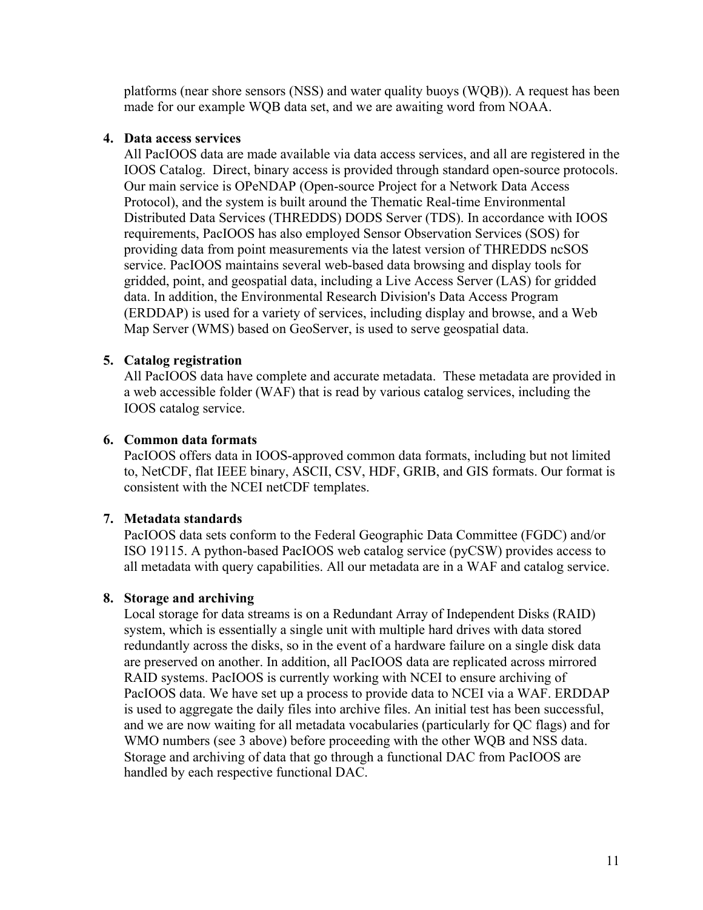platforms (near shore sensors (NSS) and water quality buoys (WQB)). A request has been made for our example WQB data set, and we are awaiting word from NOAA.

### **4. Data access services**

All PacIOOS data are made available via data access services, and all are registered in the IOOS Catalog. Direct, binary access is provided through standard open-source protocols. Our main service is OPeNDAP (Open-source Project for a Network Data Access Protocol), and the system is built around the Thematic Real-time Environmental Distributed Data Services (THREDDS) DODS Server (TDS). In accordance with IOOS requirements, PacIOOS has also employed Sensor Observation Services (SOS) for providing data from point measurements via the latest version of THREDDS ncSOS service. PacIOOS maintains several web-based data browsing and display tools for gridded, point, and geospatial data, including a Live Access Server (LAS) for gridded data. In addition, the Environmental Research Division's Data Access Program (ERDDAP) is used for a variety of services, including display and browse, and a Web Map Server (WMS) based on GeoServer, is used to serve geospatial data.

# **5. Catalog registration**

All PacIOOS data have complete and accurate metadata. These metadata are provided in a web accessible folder (WAF) that is read by various catalog services, including the IOOS catalog service.

# **6. Common data formats**

PacIOOS offers data in IOOS-approved common data formats, including but not limited to, NetCDF, flat IEEE binary, ASCII, CSV, HDF, GRIB, and GIS formats. Our format is consistent with the NCEI netCDF templates.

# **7. Metadata standards**

PacIOOS data sets conform to the Federal Geographic Data Committee (FGDC) and/or ISO 19115. A python-based PacIOOS web catalog service (pyCSW) provides access to all metadata with query capabilities. All our metadata are in a WAF and catalog service.

# **8. Storage and archiving**

Local storage for data streams is on a Redundant Array of Independent Disks (RAID) system, which is essentially a single unit with multiple hard drives with data stored redundantly across the disks, so in the event of a hardware failure on a single disk data are preserved on another. In addition, all PacIOOS data are replicated across mirrored RAID systems. PacIOOS is currently working with NCEI to ensure archiving of PacIOOS data. We have set up a process to provide data to NCEI via a WAF. ERDDAP is used to aggregate the daily files into archive files. An initial test has been successful, and we are now waiting for all metadata vocabularies (particularly for QC flags) and for WMO numbers (see 3 above) before proceeding with the other WQB and NSS data. Storage and archiving of data that go through a functional DAC from PacIOOS are handled by each respective functional DAC.